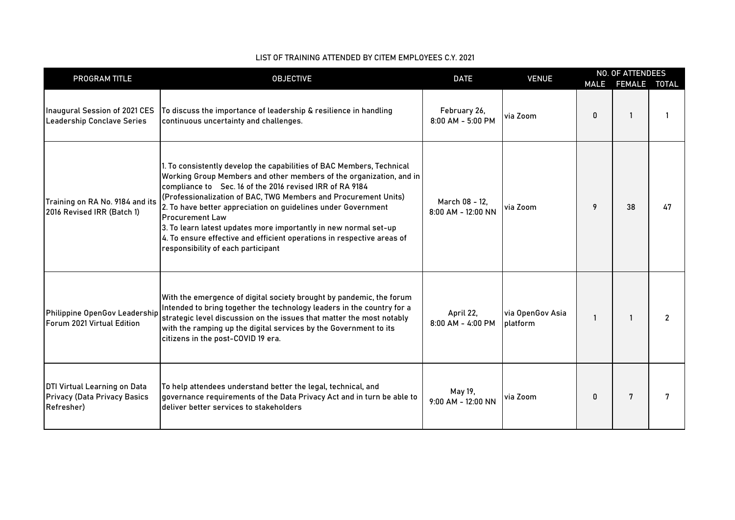| PROGRAM TITLE                                                                     | <b>OBJECTIVE</b>                                                                                                                                                                                                                                                                                                                                                                                                                                                                                                                                           | <b>DATE</b>                            | <b>VENUE</b>                 | <b>MALE</b>  | <b>NO. OF ATTENDEES</b><br>FEMALE TOTAL |                |
|-----------------------------------------------------------------------------------|------------------------------------------------------------------------------------------------------------------------------------------------------------------------------------------------------------------------------------------------------------------------------------------------------------------------------------------------------------------------------------------------------------------------------------------------------------------------------------------------------------------------------------------------------------|----------------------------------------|------------------------------|--------------|-----------------------------------------|----------------|
| Inaugural Session of 2021 CES<br>Leadership Conclave Series                       | To discuss the importance of leadership & resilience in handling<br>continuous uncertainty and challenges.                                                                                                                                                                                                                                                                                                                                                                                                                                                 | February 26,<br>8:00 AM - 5:00 PM      | via Zoom                     | 0            |                                         |                |
| Training on RA No. 9184 and its<br>2016 Revised IRR (Batch 1)                     | 1. To consistently develop the capabilities of BAC Members, Technical<br>Working Group Members and other members of the organization, and in<br>compliance to Sec. 16 of the 2016 revised IRR of RA 9184<br>(Professionalization of BAC, TWG Members and Procurement Units)<br>2. To have better appreciation on guidelines under Government<br><b>Procurement Law</b><br>3. To learn latest updates more importantly in new normal set-up<br>4. To ensure effective and efficient operations in respective areas of<br>responsibility of each participant | March 08 - 12,<br>$8:00$ AM - 12:00 NN | via Zoom                     | 9            | 38                                      | 47             |
| Philippine OpenGov Leadership<br>Forum 2021 Virtual Edition                       | With the emergence of digital society brought by pandemic, the forum<br>Intended to bring together the technology leaders in the country for a<br>strategic level discussion on the issues that matter the most notably<br>with the ramping up the digital services by the Government to its<br>citizens in the post-COVID 19 era.                                                                                                                                                                                                                         | April 22,<br>8:00 AM - 4:00 PM         | via OpenGov Asia<br>platform | $\mathbf{1}$ |                                         | $\overline{2}$ |
| DTI Virtual Learning on Data<br><b>Privacy (Data Privacy Basics</b><br>Refresher) | To help attendees understand better the legal, technical, and<br>governance requirements of the Data Privacy Act and in turn be able to<br>deliver better services to stakeholders                                                                                                                                                                                                                                                                                                                                                                         | May 19,<br>9:00 AM - 12:00 NN          | via Zoom                     | 0            | 7                                       | 7              |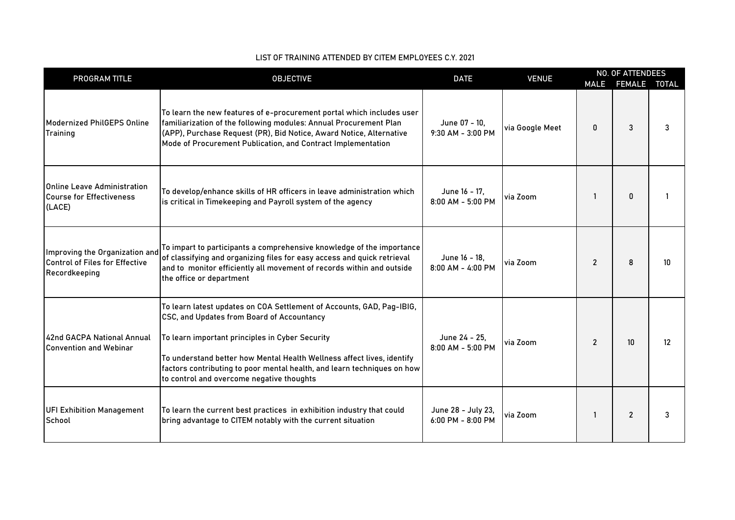| PROGRAM TITLE                                                                            | <b>OBJECTIVE</b>                                                                                                                                                                                                                                                                                                                                                         | <b>DATE</b>                                 | <b>VENUE</b>    | <b>MALE</b>    | <b>NO. OF ATTENDEES</b><br>FEMALE TOTAL |                  |
|------------------------------------------------------------------------------------------|--------------------------------------------------------------------------------------------------------------------------------------------------------------------------------------------------------------------------------------------------------------------------------------------------------------------------------------------------------------------------|---------------------------------------------|-----------------|----------------|-----------------------------------------|------------------|
| Modernized PhilGEPS Online<br>Training                                                   | To learn the new features of e-procurement portal which includes user<br>familiarization of the following modules: Annual Procurement Plan<br>(APP), Purchase Request (PR), Bid Notice, Award Notice, Alternative<br>Mode of Procurement Publication, and Contract Implementation                                                                                        | June 07 - 10,<br>9:30 AM - 3:00 PM          | via Google Meet | 0              | 3                                       | 3                |
| Online Leave Administration<br><b>Course for Effectiveness</b><br>(LACE)                 | To develop/enhance skills of HR officers in leave administration which<br>is critical in Timekeeping and Payroll system of the agency                                                                                                                                                                                                                                    | June 16 - 17,<br>$8:00$ AM - 5:00 PM        | via Zoom        |                | 0                                       |                  |
| Improving the Organization and<br><b>Control of Files for Effective</b><br>Recordkeeping | To impart to participants a comprehensive knowledge of the importance<br>of classifying and organizing files for easy access and quick retrieval<br>and to monitor efficiently all movement of records within and outside<br>the office or department                                                                                                                    | June 16 - 18,<br>$8:00$ AM - 4:00 PM        | via Zoom        | $\overline{2}$ | 8                                       | 10 <sup>10</sup> |
| 42nd GACPA National Annual<br><b>Convention and Webinar</b>                              | To learn latest updates on COA Settlement of Accounts, GAD, Pag-IBIG,<br>CSC, and Updates from Board of Accountancy<br>To learn important principles in Cyber Security<br>To understand better how Mental Health Wellness affect lives, identify<br>factors contributing to poor mental health, and learn techniques on how<br>to control and overcome negative thoughts | June 24 - 25,<br>$8:00$ AM - 5:00 PM        | via Zoom        | $\overline{2}$ | 10                                      | 12               |
| <b>UFI Exhibition Management</b><br>School                                               | To learn the current best practices in exhibition industry that could<br>bring advantage to CITEM notably with the current situation                                                                                                                                                                                                                                     | June 28 - July 23,<br>$6:00$ PM - $8:00$ PM | via Zoom        | 1              | $\overline{2}$                          | 3                |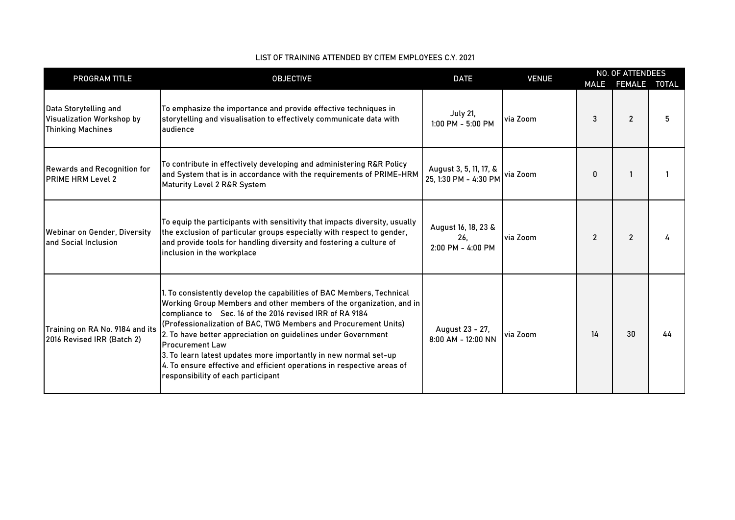| PROGRAM TITLE                                                                  | <b>OBJECTIVE</b>                                                                                                                                                                                                                                                                                                                                                                                                                                                                                                                                           | <b>DATE</b>                                     | <b>VENUE</b> |                | <b>NO. OF ATTENDEES</b> |    |
|--------------------------------------------------------------------------------|------------------------------------------------------------------------------------------------------------------------------------------------------------------------------------------------------------------------------------------------------------------------------------------------------------------------------------------------------------------------------------------------------------------------------------------------------------------------------------------------------------------------------------------------------------|-------------------------------------------------|--------------|----------------|-------------------------|----|
|                                                                                |                                                                                                                                                                                                                                                                                                                                                                                                                                                                                                                                                            |                                                 |              | <b>MALE</b>    | FEMALE TOTAL            |    |
| Data Storytelling and<br>Visualization Workshop by<br><b>Thinking Machines</b> | To emphasize the importance and provide effective techniques in<br>storytelling and visualisation to effectively communicate data with<br>audience                                                                                                                                                                                                                                                                                                                                                                                                         | <b>July 21,</b><br>$1:00$ PM - 5:00 PM          | via Zoom     | 3              | $\overline{2}$          | 5  |
| <b>Rewards and Recognition for</b><br><b>PRIME HRM Level 2</b>                 | To contribute in effectively developing and administering R&R Policy<br>and System that is in accordance with the requirements of PRIME-HRM<br>Maturity Level 2 R&R System                                                                                                                                                                                                                                                                                                                                                                                 | August 3, 5, 11, 17, &<br>25, 1:30 PM - 4:30 PM | via Zoom     | 0              |                         |    |
| Webinar on Gender, Diversity<br>and Social Inclusion                           | To equip the participants with sensitivity that impacts diversity, usually<br>the exclusion of particular groups especially with respect to gender,<br>and provide tools for handling diversity and fostering a culture of<br>inclusion in the workplace                                                                                                                                                                                                                                                                                                   | August 16, 18, 23 &<br>26.<br>2:00 PM - 4:00 PM | via Zoom     | $\overline{2}$ | $\overline{2}$          |    |
| Training on RA No. 9184 and its<br>2016 Revised IRR (Batch 2)                  | 1. To consistently develop the capabilities of BAC Members, Technical<br>Working Group Members and other members of the organization, and in<br>compliance to Sec. 16 of the 2016 revised IRR of RA 9184<br>(Professionalization of BAC, TWG Members and Procurement Units)<br>2. To have better appreciation on guidelines under Government<br><b>Procurement Law</b><br>3. To learn latest updates more importantly in new normal set-up<br>4. To ensure effective and efficient operations in respective areas of<br>responsibility of each participant | August 23 - 27,<br>$8:00$ AM - 12:00 NN         | via Zoom     | 14             | 30                      | 44 |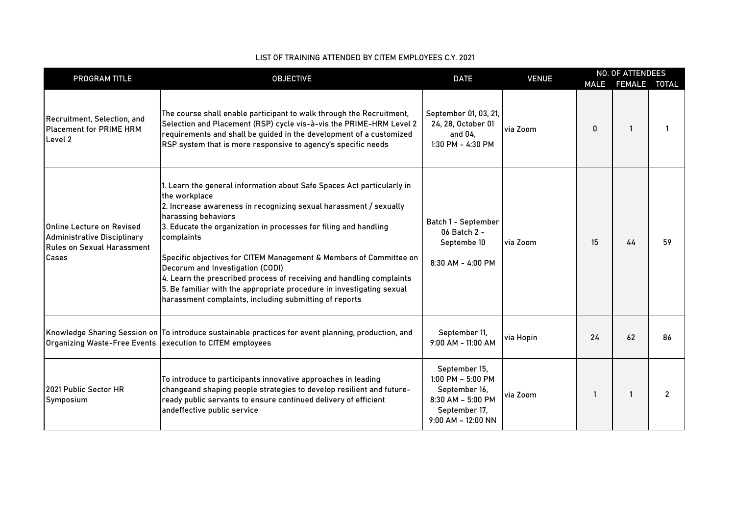| PROGRAM TITLE                                                                                                  | <b>OBJECTIVE</b>                                                                                                                                                                                                                                                                                                                                                                                                                                                                                                                                                                           | <b>DATE</b>                                                                                                            | <b>VENUE</b> |    | <b>NO. OF ATTENDEES</b> |                |  |
|----------------------------------------------------------------------------------------------------------------|--------------------------------------------------------------------------------------------------------------------------------------------------------------------------------------------------------------------------------------------------------------------------------------------------------------------------------------------------------------------------------------------------------------------------------------------------------------------------------------------------------------------------------------------------------------------------------------------|------------------------------------------------------------------------------------------------------------------------|--------------|----|-------------------------|----------------|--|
|                                                                                                                |                                                                                                                                                                                                                                                                                                                                                                                                                                                                                                                                                                                            |                                                                                                                        |              |    | MALE FEMALE TOTAL       |                |  |
| Recruitment, Selection, and<br>Placement for PRIME HRM<br>Level 2                                              | The course shall enable participant to walk through the Recruitment,<br>Selection and Placement (RSP) cycle vis-à-vis the PRIME-HRM Level 2<br>requirements and shall be guided in the development of a customized<br>RSP system that is more responsive to agency's specific needs                                                                                                                                                                                                                                                                                                        | September 01, 03, 21,<br>24, 28, October 01<br>and $04$ .<br>1:30 PM - 4:30 PM                                         | via Zoom     | 0  | -1                      |                |  |
| lOnline Lecture on Revised<br><b>Administrative Disciplinary</b><br><b>Rules on Sexual Harassment</b><br>Cases | I. Learn the general information about Safe Spaces Act particularly in<br>the workplace<br>2. Increase awareness in recognizing sexual harassment / sexually<br>harassing behaviors<br>3. Educate the organization in processes for filing and handling<br>complaints<br>Specific objectives for CITEM Management & Members of Committee on<br>Decorum and Investigation (CODI)<br>4. Learn the prescribed process of receiving and handling complaints<br>5. Be familiar with the appropriate procedure in investigating sexual<br>harassment complaints, including submitting of reports | Batch 1 - September<br>06 Batch 2 -<br>Septembe 10<br>8:30 AM - 4:00 PM                                                | via Zoom     | 15 | 44                      | 59             |  |
| Organizing Waste-Free Events   execution to CITEM employees                                                    | Knowledge Sharing Session on To introduce sustainable practices for event planning, production, and                                                                                                                                                                                                                                                                                                                                                                                                                                                                                        | September 11,<br>$9:00$ AM - 11:00 AM                                                                                  | via Hopin    | 24 | 62                      | 86             |  |
| 2021 Public Sector HR<br>Symposium                                                                             | To introduce to participants innovative approaches in leading<br>changeand shaping people strategies to develop resilient and future-<br>ready public servants to ensure continued delivery of efficient<br>andeffective public service                                                                                                                                                                                                                                                                                                                                                    | September 15,<br>$1:00$ PM $-5:00$ PM<br>September 16.<br>$8:30$ AM - 5:00 PM<br>September 17,<br>$9:00$ AM - 12:00 NN | via Zoom     | 1  | $\mathbf{1}$            | $\overline{2}$ |  |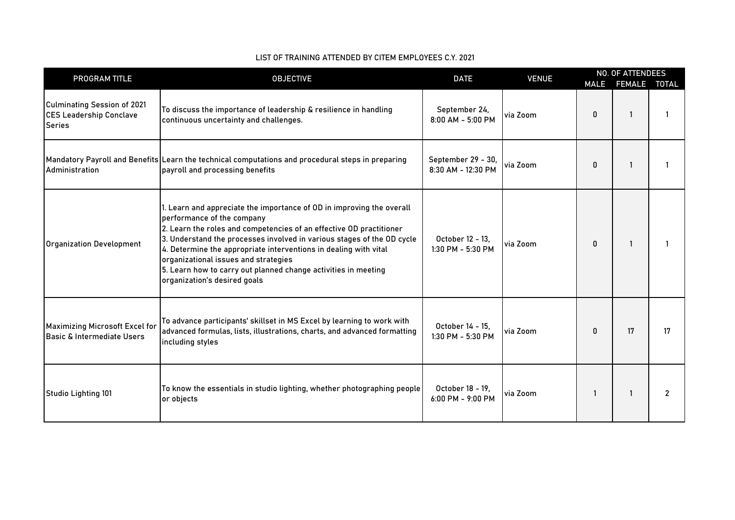| PROGRAM TITLE                                                                         |                                                                                                                                                                                                                                                                                                                                                                                                                                                                    |                                          |          | <b>OBJECTIVE</b><br><b>DATE</b><br><b>VENUE</b> |              |                |  |  | <b>NO. OF ATTENDEES</b> |  |  |
|---------------------------------------------------------------------------------------|--------------------------------------------------------------------------------------------------------------------------------------------------------------------------------------------------------------------------------------------------------------------------------------------------------------------------------------------------------------------------------------------------------------------------------------------------------------------|------------------------------------------|----------|-------------------------------------------------|--------------|----------------|--|--|-------------------------|--|--|
|                                                                                       |                                                                                                                                                                                                                                                                                                                                                                                                                                                                    |                                          |          | <b>MALE</b>                                     | FEMALE TOTAL |                |  |  |                         |  |  |
| <b>Culminating Session of 2021</b><br><b>CES Leadership Conclave</b><br><b>Series</b> | To discuss the importance of leadership & resilience in handling<br>continuous uncertainty and challenges.                                                                                                                                                                                                                                                                                                                                                         | September 24,<br>8:00 AM - 5:00 PM       | via Zoom | 0                                               |              |                |  |  |                         |  |  |
| Administration                                                                        | Mandatory Payroll and Benefits Learn the technical computations and procedural steps in preparing<br>payroll and processing benefits                                                                                                                                                                                                                                                                                                                               | September 29 - 30,<br>8:30 AM - 12:30 PM | via Zoom | 0                                               | -1           | -1             |  |  |                         |  |  |
| <b>Organization Development</b>                                                       | 1. Learn and appreciate the importance of OD in improving the overall<br>performance of the company<br>2. Learn the roles and competencies of an effective OD practitioner<br>3. Understand the processes involved in various stages of the OD cycle<br>4. Determine the appropriate interventions in dealing with vital<br>organizational issues and strategies<br>5. Learn how to carry out planned change activities in meeting<br>organization's desired goals | October 12 - 13.<br>1:30 PM - 5:30 PM    | via Zoom | 0                                               | $\mathbf{1}$ |                |  |  |                         |  |  |
| <b>Maximizing Microsoft Excel for</b><br>Basic & Intermediate Users                   | To advance participants' skillset in MS Excel by learning to work with<br>advanced formulas, lists, illustrations, charts, and advanced formatting<br>including styles                                                                                                                                                                                                                                                                                             | October 14 - 15.<br>1:30 PM - 5:30 PM    | via Zoom | 0                                               | 17           | 17             |  |  |                         |  |  |
| Studio Lighting 101                                                                   | To know the essentials in studio lighting, whether photographing people<br>or objects                                                                                                                                                                                                                                                                                                                                                                              | October 18 - 19,<br>$6:00$ PM - 9:00 PM  | via Zoom |                                                 | $\mathbf{1}$ | $\overline{2}$ |  |  |                         |  |  |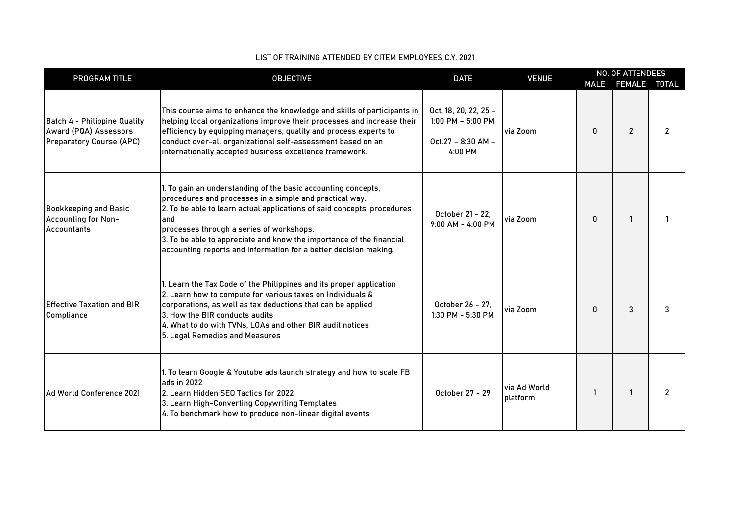| PROGRAM TITLE                                                                            | <b>OBJECTIVE</b>                                                                                                                                                                                                                                                                                                                                                                                   | <b>DATE</b>                                                                      | <b>VENUE</b>             |   | <b>NO. OF ATTENDEES</b><br>MALE FEMALE TOTAL |                |
|------------------------------------------------------------------------------------------|----------------------------------------------------------------------------------------------------------------------------------------------------------------------------------------------------------------------------------------------------------------------------------------------------------------------------------------------------------------------------------------------------|----------------------------------------------------------------------------------|--------------------------|---|----------------------------------------------|----------------|
| Batch 4 - Philippine Quality<br>Award (PQA) Assessors<br><b>Preparatory Course (APC)</b> | This course aims to enhance the knowledge and skills of participants in<br>helping local organizations improve their processes and increase their<br>efficiency by equipping managers, quality and process experts to<br>conduct over-all organizational self-assessment based on an<br>internationally accepted business excellence framework.                                                    | Oct. 18, 20, 22, 25 -<br>$1:00$ PM $-5:00$ PM<br>$Oct.27 - 8:30 AM -$<br>4:00 PM | via Zoom                 | 0 | $\overline{2}$                               | $\overline{2}$ |
| <b>Bookkeeping and Basic</b><br><b>Accounting for Non-</b><br><b>Accountants</b>         | I. To gain an understanding of the basic accounting concepts,<br>procedures and processes in a simple and practical way.<br>2. To be able to learn actual applications of said concepts, procedures<br>and<br>processes through a series of workshops.<br>3. To be able to appreciate and know the importance of the financial<br>accounting reports and information for a better decision making. | October 21 - 22,<br>$9:00$ AM - 4:00 PM                                          | via Zoom                 | 0 |                                              |                |
| <b>Effective Taxation and BIR</b><br>Compliance                                          | I. Learn the Tax Code of the Philippines and its proper application<br>2. Learn how to compute for various taxes on Individuals &<br>corporations, as well as tax deductions that can be applied<br>3. How the BIR conducts audits<br>4. What to do with TVNs, LOAs and other BIR audit notices<br>5. Legal Remedies and Measures                                                                  | October 26 - 27,<br>$1:30$ PM - 5:30 PM                                          | via Zoom                 | 0 | 3                                            | 3              |
| Ad World Conference 2021                                                                 | I. To learn Google & Youtube ads launch strategy and how to scale FB<br>ads in 2022<br>2. Learn Hidden SEO Tactics for 2022<br>3. Learn High-Converting Copywriting Templates<br>4. To benchmark how to produce non-linear digital events                                                                                                                                                          | October 27 - 29                                                                  | via Ad World<br>platform |   |                                              | $\overline{2}$ |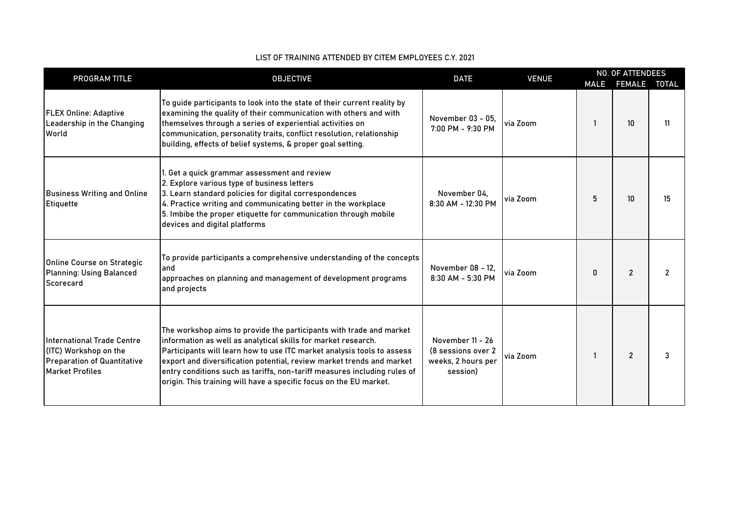| PROGRAM TITLE                                                                                                       | <b>OBJECTIVE</b>                                                                                                                                                                                                                                                                                                                                                                                                                          | <b>DATE</b>                                                              | <b>VENUE</b> |   | <b>NO. OF ATTENDEES</b>               |    |
|---------------------------------------------------------------------------------------------------------------------|-------------------------------------------------------------------------------------------------------------------------------------------------------------------------------------------------------------------------------------------------------------------------------------------------------------------------------------------------------------------------------------------------------------------------------------------|--------------------------------------------------------------------------|--------------|---|---------------------------------------|----|
| <b>FLEX Online: Adaptive</b><br>Leadership in the Changing<br>World                                                 | To guide participants to look into the state of their current reality by<br>examining the quality of their communication with others and with<br>themselves through a series of experiential activities on<br>communication, personality traits, conflict resolution, relationship<br>building, effects of belief systems, & proper goal setting.                                                                                         | November 03 - 05,<br>7:00 PM - 9:30 PM                                   | via Zoom     |   | MALE FEMALE TOTAL<br>10 <sup>10</sup> | 11 |
| <b>Business Writing and Online</b><br>Etiquette                                                                     | l. Get a quick grammar assessment and review<br>2. Explore various type of business letters<br>3. Learn standard policies for digital correspondences<br>4. Practice writing and communicating better in the workplace<br>5. Imbibe the proper etiquette for communication through mobile<br>devices and digital platforms                                                                                                                | November 04.<br>8:30 AM - 12:30 PM                                       | via Zoom     | 5 | 10 <sup>10</sup>                      | 15 |
| <b>Online Course on Strategic</b><br><b>Planning: Using Balanced</b><br>Scorecard                                   | To provide participants a comprehensive understanding of the concepts<br>land<br>approaches on planning and management of development programs<br>and projects                                                                                                                                                                                                                                                                            | November 08 - 12,<br>8:30 AM - 5:30 PM                                   | via Zoom     | 0 | $\overline{2}$                        | 2  |
| International Trade Centre<br>(ITC) Workshop on the<br><b>Preparation of Quantitative</b><br><b>Market Profiles</b> | The workshop aims to provide the participants with trade and market<br>information as well as analytical skills for market research.<br>Participants will learn how to use ITC market analysis tools to assess<br>export and diversification potential, review market trends and market<br>entry conditions such as tariffs, non-tariff measures including rules of<br>origin. This training will have a specific focus on the EU market. | November 11 - 26<br>(8 sessions over 2<br>weeks, 2 hours per<br>session) | via Zoom     |   | $\overline{2}$                        | 3  |